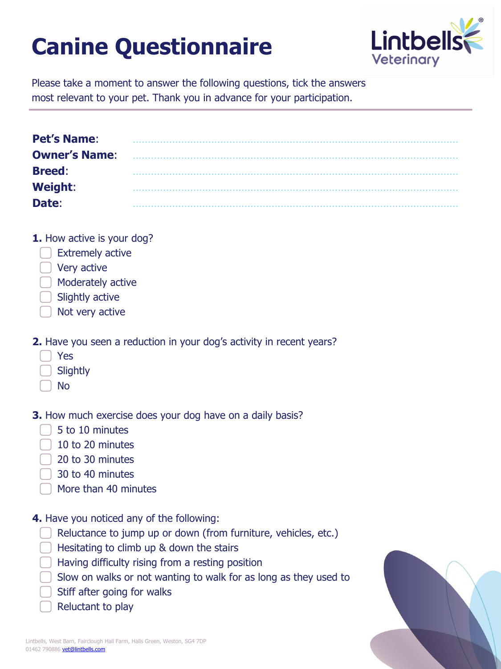## **Canine Questionnaire**



Please take a moment to answer the following questions, tick the answers most relevant to your pet. Thank you in advance for your participation.

| <b>Pet's Name:</b>   |  |
|----------------------|--|
| <b>Owner's Name:</b> |  |
| <b>Breed:</b>        |  |
| <b>Weight:</b>       |  |
| Date:                |  |

**1.** How active is your dog?

- **Extremely active**
- ⃣Very active
- ⃣Moderately active
- Slightly active
- Not very active
- **2.** Have you seen a reduction in your dog's activity in recent years?
	- ⃣Yes
	- **Slightly**
	- ⃣No

**3.** How much exercise does your dog have on a daily basis?

- ⃣5 to 10 minutes
- ⃣10 to 20 minutes
- ⃣20 to 30 minutes
- ⃣30 to 40 minutes
- ⃣More than 40 minutes
- **4.** Have you noticed any of the following:
	- Reluctance to jump up or down (from furniture, vehicles, etc.)
	- ⃣Hesitating to climb up & down the stairs
	- ⃣Having difficulty rising from a resting position
	- ⃣Slow on walks or not wanting to walk for as long as they used to
	- ⃣Stiff after going for walks
	- Reluctant to play